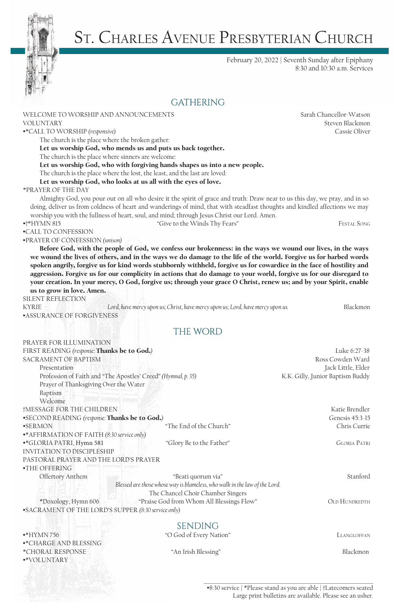

# St. Charles Avenue Presbyterian Church

February 20, 2022 | Seventh Sunday after Epiphany 8:30 and 10:30 a.m. Services

|                                                                            | <b>GATHERING</b>                                                                                                            |                                  |
|----------------------------------------------------------------------------|-----------------------------------------------------------------------------------------------------------------------------|----------------------------------|
| WELCOME TO WORSHIP AND ANNOUNCEMENTS                                       |                                                                                                                             | Sarah Chancellor-Watson          |
| <b>VOLUNTARY</b>                                                           |                                                                                                                             | Steven Blackmon                  |
| •*CALL TO WORSHIP (responsive)                                             |                                                                                                                             | Cassie Oliver                    |
| The church is the place where the broken gather:                           |                                                                                                                             |                                  |
|                                                                            | Let us worship God, who mends us and puts us back together.                                                                 |                                  |
| The church is the place where sinners are welcome:                         |                                                                                                                             |                                  |
|                                                                            | Let us worship God, who with forgiving hands shapes us into a new people.                                                   |                                  |
|                                                                            | The church is the place where the lost, the least, and the last are loved:                                                  |                                  |
| Let us worship God, who looks at us all with the eyes of love.             |                                                                                                                             |                                  |
| *PRAYER OF THE DAY                                                         |                                                                                                                             |                                  |
|                                                                            | Almighty God, you pour out on all who desire it the spirit of grace and truth: Draw near to us this day, we pray, and in so |                                  |
|                                                                            | doing, deliver us from coldness of heart and wanderings of mind, that with steadfast thoughts and kindled affections we may |                                  |
|                                                                            | worship you with the fullness of heart, soul, and mind; through Jesus Christ our Lord. Amen.                                |                                  |
| $*+$ HYMN 815                                                              | "Give to the Winds Thy Fears"                                                                                               | <b>FESTAL SONG</b>               |
| •CALL TO CONFESSION                                                        |                                                                                                                             |                                  |
| •PRAYER OF CONFESSION (unison)                                             |                                                                                                                             |                                  |
|                                                                            | Before God, with the people of God, we confess our brokenness: in the ways we wound our lives, in the ways                  |                                  |
|                                                                            | we wound the lives of others, and in the ways we do damage to the life of the world. Forgive us for barbed words            |                                  |
|                                                                            |                                                                                                                             |                                  |
|                                                                            | spoken angrily, forgive us for kind words stubbornly withheld, forgive us for cowardice in the face of hostility and        |                                  |
|                                                                            | aggression. Forgive us for our complicity in actions that do damage to your world, forgive us for our disregard to          |                                  |
|                                                                            | your creation. In your mercy, O God, forgive us; through your grace O Christ, renew us; and by your Spirit, enable          |                                  |
| us to grow in love. Amen.                                                  |                                                                                                                             |                                  |
| SILENT REFLECTION                                                          |                                                                                                                             |                                  |
| <b>KYRIE</b>                                                               | Lord, have mercy upon us; Christ, have mercy upon us; Lord, have mercy upon us.                                             | Blackmon                         |
| <b>•ASSURANCE OF FORGIVENESS</b>                                           |                                                                                                                             |                                  |
|                                                                            | THE WORD                                                                                                                    |                                  |
| PRAYER FOR ILLUMINATION                                                    |                                                                                                                             |                                  |
|                                                                            |                                                                                                                             |                                  |
| FIRST READING (response: Thanks be to God.)<br><b>SACRAMENT OF BAPTISM</b> |                                                                                                                             | Luke 6:27-38<br>Ross Cowden Ward |
|                                                                            |                                                                                                                             |                                  |
| Presentation                                                               |                                                                                                                             | Jack Little, Elder               |
| Profession of Faith and "The Apostles' Creed" (Hymnal, p. 35)              |                                                                                                                             | K.K. Gilly, Junior Baptism Buddy |
| Prayer of Thanksgiving Over the Water                                      |                                                                                                                             |                                  |
| Baptism                                                                    |                                                                                                                             |                                  |
| Welcome                                                                    |                                                                                                                             |                                  |
| †MESSAGE FOR THE CHILDREN                                                  |                                                                                                                             | Katie Brendler                   |
| •SECOND READING (response: Thanks be to God.)                              |                                                                                                                             | Genesis 45:3-15                  |
| <b>•SERMON</b>                                                             | "The End of the Church"                                                                                                     | Chris Currie                     |
| •* AFFIRMATION OF FAITH (8:30 service only)                                |                                                                                                                             |                                  |
| •*GLORIA PATRI, Hymn 581                                                   | "Glory Be to the Father"                                                                                                    | <b>GLORIA PATRI</b>              |
| <b>INVITATION TO DISCIPLESHIP</b>                                          |                                                                                                                             |                                  |
| PASTORAL PRAYER AND THE LORD'S PRAYER                                      |                                                                                                                             |                                  |
| •THE OFFERING                                                              |                                                                                                                             |                                  |
| Offertory Anthem                                                           | "Beati quorum via"                                                                                                          | Stanford                         |
|                                                                            | Blessed are those whose way is blameless, who walk in the law of the Lord.                                                  |                                  |
|                                                                            | The Chancel Choir Chamber Singers                                                                                           |                                  |
| *Doxology, Hymn 606                                                        | "Praise God from Whom All Blessings Flow"                                                                                   | <b>OLD HUNDREDTH</b>             |
| •SACRAMENT OF THE LORD'S SUPPER (8:30 service only)                        |                                                                                                                             |                                  |
|                                                                            |                                                                                                                             |                                  |

# SENDING<br>SENDING<br>C God of Every Nat

•\*CHARGE AND BLESSING \*CHORAL RESPONSE "An Irish Blessing" Blackmon •\*VOLUNTARY

"O God of Every Nation" LLANGLOFFAN

## •8:30 service | \*Please stand as you are able | †Latecomers seated Large print bulletins are available. Please see an usher.